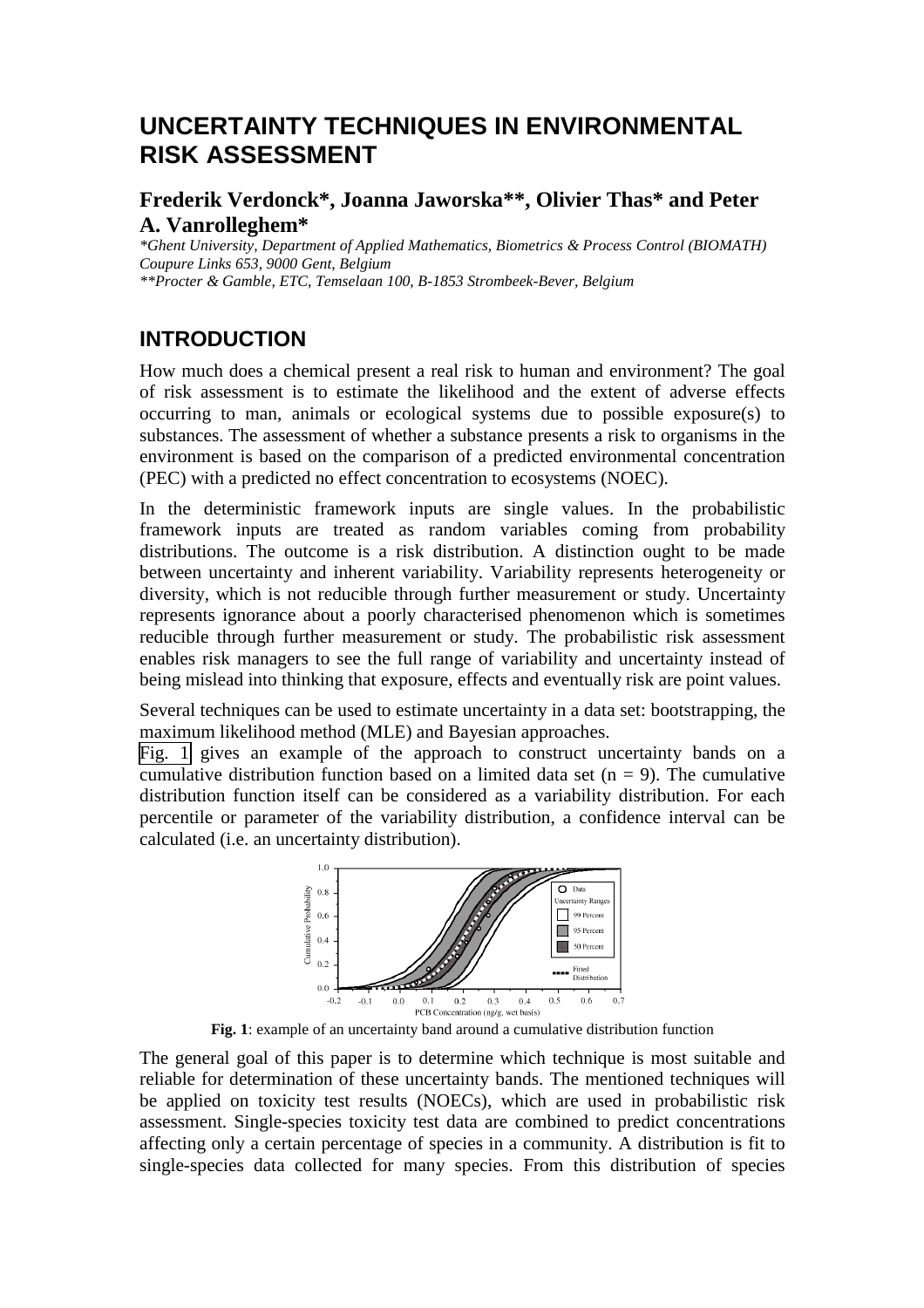# **UNCERTAINTY TECHNIQUES IN ENVIRONMENTAL RISK ASSESSMENT**

### **Frederik Verdonck\*, Joanna Jaworska\*\*, Olivier Thas\* and Peter A. Vanrolleghem\***

*\*Ghent University, Department of Applied Mathematics, Biometrics & Process Control (BIOMATH) Coupure Links 653, 9000 Gent, Belgium \*\*Procter & Gamble, ETC, Temselaan 100, B-1853 Strombeek-Bever, Belgium*

## **INTRODUCTION**

How much does a chemical present a real risk to human and environment? The goal of risk assessment is to estimate the likelihood and the extent of adverse effects occurring to man, animals or ecological systems due to possible exposure(s) to substances. The assessment of whether a substance presents a risk to organisms in the environment is based on the comparison of a predicted environmental concentration (PEC) with a predicted no effect concentration to ecosystems (NOEC).

In the deterministic framework inputs are single values. In the probabilistic framework inputs are treated as random variables coming from probability distributions. The outcome is a risk distribution. A distinction ought to be made between uncertainty and inherent variability. Variability represents heterogeneity or diversity, which is not reducible through further measurement or study. Uncertainty represents ignorance about a poorly characterised phenomenon which is sometimes reducible through further measurement or study. The probabilistic risk assessment enables risk managers to see the full range of variability and uncertainty instead of being mislead into thinking that exposure, effects and eventually risk are point values.

Several techniques can be used to estimate uncertainty in a data set: bootstrapping, the maximum likelihood method (MLE) and Bayesian approaches.

Fig. 1 gives an example of the approach to construct uncertainty bands on a cumulative distribution function based on a limited data set  $(n = 9)$ . The cumulative distribution function itself can be considered as a variability distribution. For each percentile or parameter of the variability distribution, a confidence interval can be calculated (i.e. an uncertainty distribution).



**Fig. 1**: example of an uncertainty band around a cumulative distribution function

The general goal of this paper is to determine which technique is most suitable and reliable for determination of these uncertainty bands. The mentioned techniques will be applied on toxicity test results (NOECs), which are used in probabilistic risk assessment. Single-species toxicity test data are combined to predict concentrations affecting only a certain percentage of species in a community. A distribution is fit to single-species data collected for many species. From this distribution of species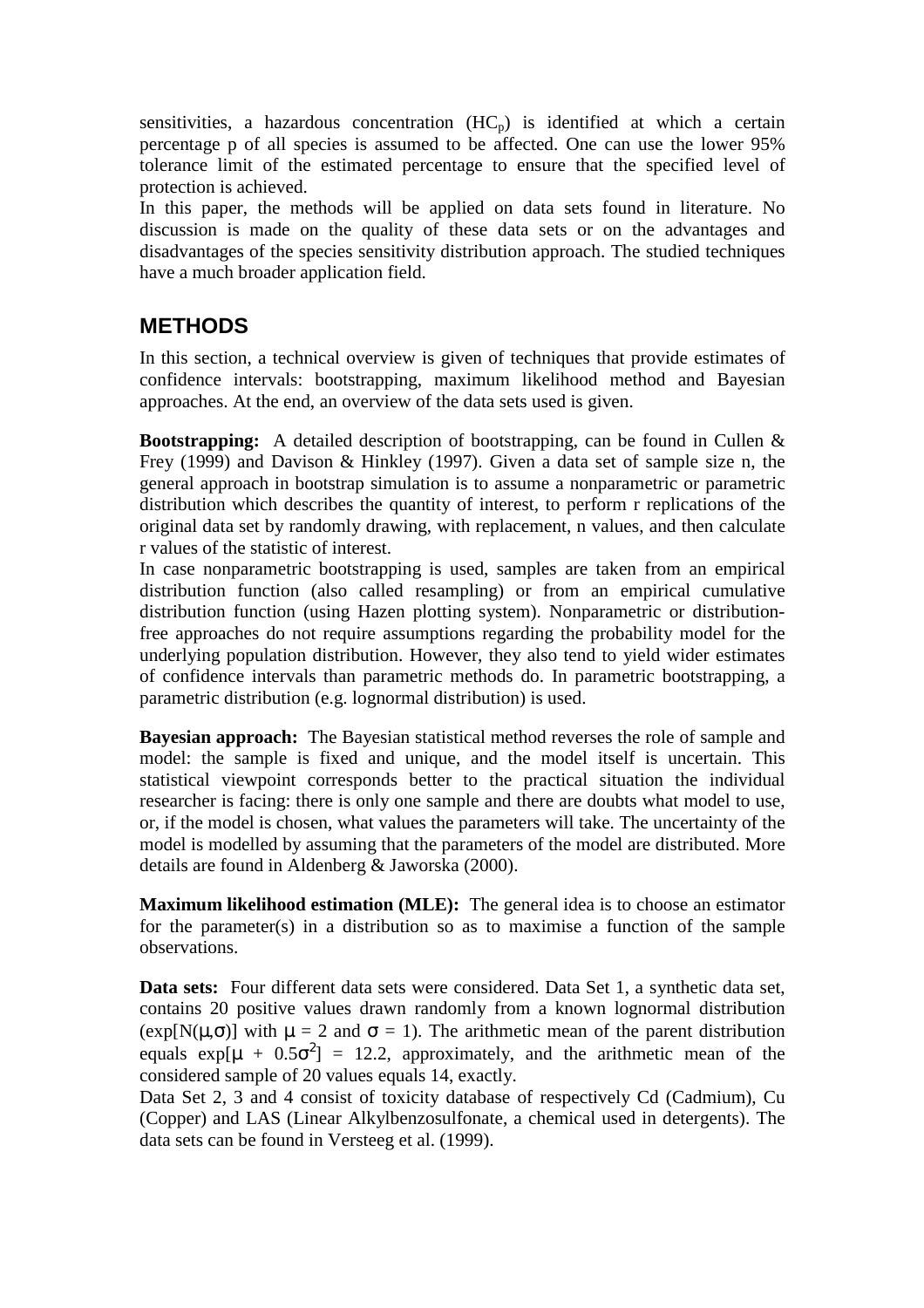sensitivities, a hazardous concentration  $(HC_p)$  is identified at which a certain percentage p of all species is assumed to be affected. One can use the lower 95% tolerance limit of the estimated percentage to ensure that the specified level of protection is achieved.

In this paper, the methods will be applied on data sets found in literature. No discussion is made on the quality of these data sets or on the advantages and disadvantages of the species sensitivity distribution approach. The studied techniques have a much broader application field.

# **METHODS**

In this section, a technical overview is given of techniques that provide estimates of confidence intervals: bootstrapping, maximum likelihood method and Bayesian approaches. At the end, an overview of the data sets used is given.

**Bootstrapping:** A detailed description of bootstrapping, can be found in Cullen & Frey (1999) and Davison & Hinkley (1997). Given a data set of sample size n, the general approach in bootstrap simulation is to assume a nonparametric or parametric distribution which describes the quantity of interest, to perform r replications of the original data set by randomly drawing, with replacement, n values, and then calculate r values of the statistic of interest.

In case nonparametric bootstrapping is used, samples are taken from an empirical distribution function (also called resampling) or from an empirical cumulative distribution function (using Hazen plotting system). Nonparametric or distributionfree approaches do not require assumptions regarding the probability model for the underlying population distribution. However, they also tend to yield wider estimates of confidence intervals than parametric methods do. In parametric bootstrapping, a parametric distribution (e.g. lognormal distribution) is used.

**Bayesian approach:** The Bayesian statistical method reverses the role of sample and model: the sample is fixed and unique, and the model itself is uncertain. This statistical viewpoint corresponds better to the practical situation the individual researcher is facing: there is only one sample and there are doubts what model to use, or, if the model is chosen, what values the parameters will take. The uncertainty of the model is modelled by assuming that the parameters of the model are distributed. More details are found in Aldenberg & Jaworska (2000).

**Maximum likelihood estimation (MLE):** The general idea is to choose an estimator for the parameter(s) in a distribution so as to maximise a function of the sample observations.

**Data sets:** Four different data sets were considered. Data Set 1, a synthetic data set, contains 20 positive values drawn randomly from a known lognormal distribution (exp[N( $\mu$ , $\sigma$ )] with  $\mu = 2$  and  $\sigma = 1$ ). The arithmetic mean of the parent distribution equals  $exp[\mu + 0.5\sigma^2] = 12.2$ , approximately, and the arithmetic mean of the considered sample of 20 values equals 14, exactly.

Data Set 2, 3 and 4 consist of toxicity database of respectively Cd (Cadmium), Cu (Copper) and LAS (Linear Alkylbenzosulfonate, a chemical used in detergents). The data sets can be found in Versteeg et al. (1999).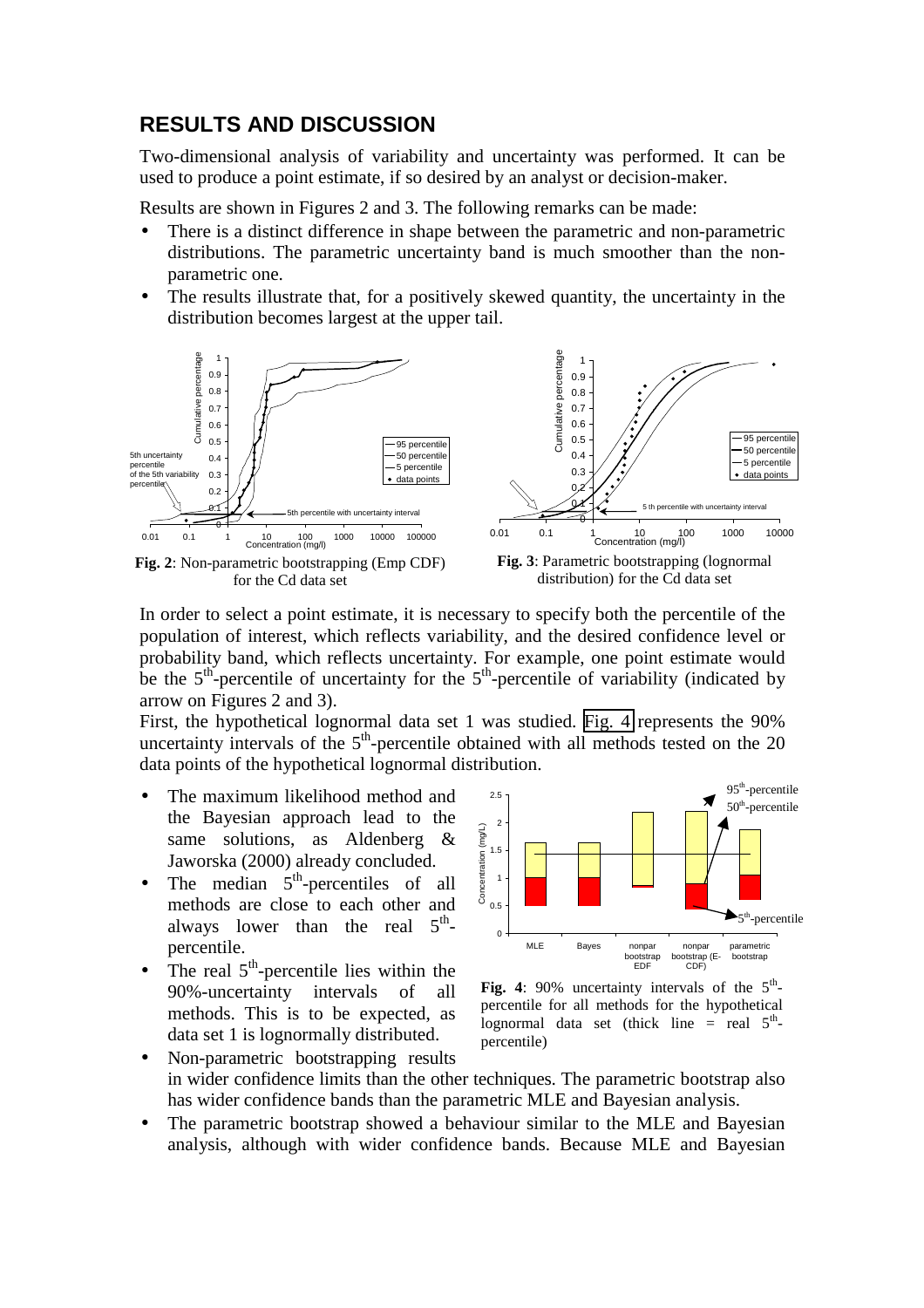### **RESULTS AND DISCUSSION**

Two-dimensional analysis of variability and uncertainty was performed. It can be used to produce a point estimate, if so desired by an analyst or decision-maker.

Results are shown in Figures 2 and 3. The following remarks can be made:

- There is a distinct difference in shape between the parametric and non-parametric distributions. The parametric uncertainty band is much smoother than the nonparametric one.
- The results illustrate that, for a positively skewed quantity, the uncertainty in the distribution becomes largest at the upper tail.



In order to select a point estimate, it is necessary to specify both the percentile of the population of interest, which reflects variability, and the desired confidence level or probability band, which reflects uncertainty. For example, one point estimate would be the  $5<sup>th</sup>$ -percentile of uncertainty for the  $5<sup>th</sup>$ -percentile of variability (indicated by arrow on Figures 2 and 3).

First, the hypothetical lognormal data set 1 was studied. [Fig. 4](#page-3-0) represents the 90% uncertainty intervals of the  $5<sup>th</sup>$ -percentile obtained with all methods tested on the 20 data points of the hypothetical lognormal distribution.

- The maximum likelihood method and the Bayesian approach lead to the same solutions, as Aldenberg & Jaworska (2000) already concluded.
- The median  $5<sup>th</sup>$ -percentiles of all methods are close to each other and always lower than the real  $5<sup>th</sup>$ percentile.
- The real  $5<sup>th</sup>$ -percentile lies within the 90%-uncertainty intervals of all methods. This is to be expected, as data set 1 is lognormally distributed.



Fig. 4: 90% uncertainty intervals of the  $5<sup>th</sup>$ percentile for all methods for the hypothetical lognormal data set (thick line = real  $5^{\text{m}}$ percentile)

- Non-parametric bootstrapping results in wider confidence limits than the other techniques. The parametric bootstrap also has wider confidence bands than the parametric MLE and Bayesian analysis.
- The parametric bootstrap showed a behaviour similar to the MLE and Bayesian analysis, although with wider confidence bands. Because MLE and Bayesian